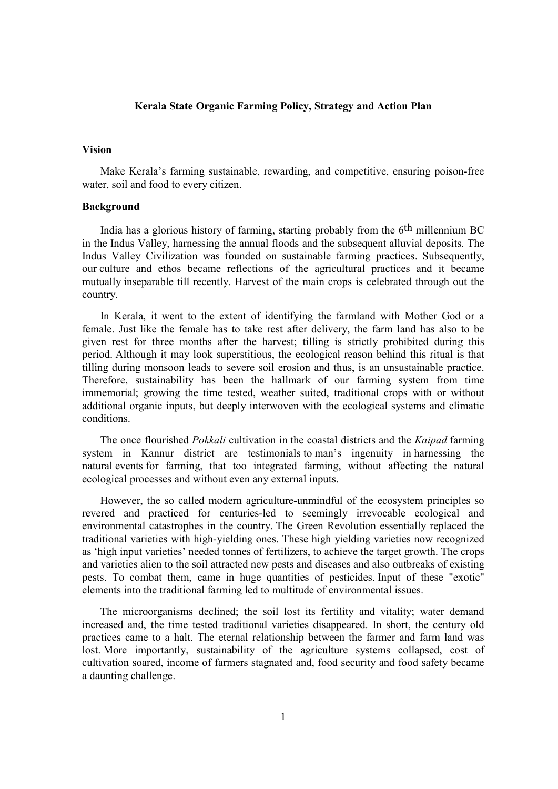#### **Kerala State Organic Farming Policy, Strategy and Action Plan**

#### **Vision**

Make Kerala's farming sustainable, rewarding, and competitive, ensuring poison-free water, soil and food to every citizen.

#### **Background**

India has a glorious history of farming, starting probably from the 6th millennium BC in the Indus Valley, harnessing the annual floods and the subsequent alluvial deposits. The Indus Valley Civilization was founded on sustainable farming practices. Subsequently, our culture and ethos became reflections of the agricultural practices and it became mutually inseparable till recently. Harvest of the main crops is celebrated through out the country.

In Kerala, it went to the extent of identifying the farmland with Mother God or a female. Just like the female has to take rest after delivery, the farm land has also to be given rest for three months after the harvest; tilling is strictly prohibited during this period. Although it may look superstitious, the ecological reason behind this ritual is that tilling during monsoon leads to severe soil erosion and thus, is an unsustainable practice. Therefore, sustainability has been the hallmark of our farming system from time immemorial; growing the time tested, weather suited, traditional crops with or without additional organic inputs, but deeply interwoven with the ecological systems and climatic conditions.

The once flourished *Pokkali* cultivation in the coastal districts and the *Kaipad* farming system in Kannur district are testimonials to man's ingenuity in harnessing the natural events for farming, that too integrated farming, without affecting the natural ecological processes and without even any external inputs.

However, the so called modern agriculture-unmindful of the ecosystem principles so revered and practiced for centuries-led to seemingly irrevocable ecological and environmental catastrophes in the country. The Green Revolution essentially replaced the traditional varieties with high-yielding ones. These high yielding varieties now recognized as 'high input varieties' needed tonnes of fertilizers, to achieve the target growth. The crops and varieties alien to the soil attracted new pests and diseases and also outbreaks of existing pests. To combat them, came in huge quantities of pesticides. Input of these "exotic" elements into the traditional farming led to multitude of environmental issues.

The microorganisms declined; the soil lost its fertility and vitality; water demand increased and, the time tested traditional varieties disappeared. In short, the century old practices came to a halt. The eternal relationship between the farmer and farm land was lost. More importantly, sustainability of the agriculture systems collapsed, cost of cultivation soared, income of farmers stagnated and, food security and food safety became a daunting challenge.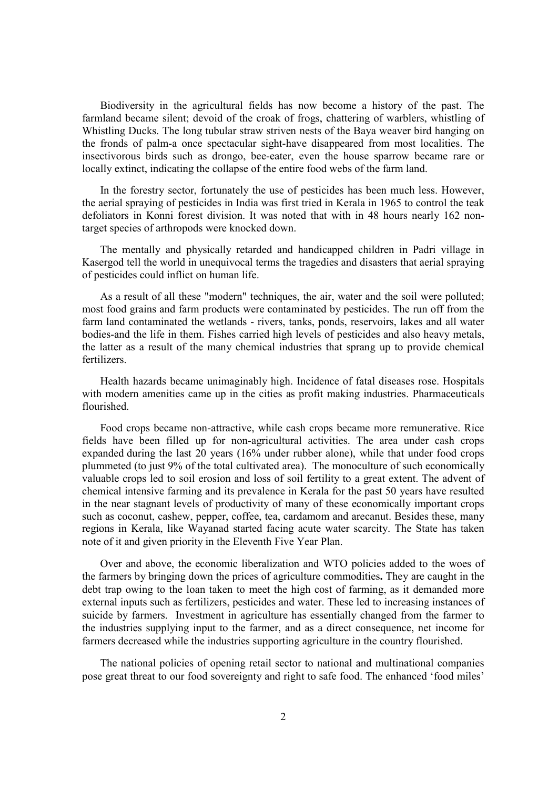Biodiversity in the agricultural fields has now become a history of the past. The farmland became silent; devoid of the croak of frogs, chattering of warblers, whistling of Whistling Ducks. The long tubular straw striven nests of the Baya weaver bird hanging on the fronds of palm-a once spectacular sight-have disappeared from most localities. The insectivorous birds such as drongo, bee-eater, even the house sparrow became rare or locally extinct, indicating the collapse of the entire food webs of the farm land.

In the forestry sector, fortunately the use of pesticides has been much less. However, the aerial spraying of pesticides in India was first tried in Kerala in 1965 to control the teak defoliators in Konni forest division. It was noted that with in 48 hours nearly 162 nontarget species of arthropods were knocked down.

The mentally and physically retarded and handicapped children in Padri village in Kasergod tell the world in unequivocal terms the tragedies and disasters that aerial spraying of pesticides could inflict on human life.

As a result of all these "modern" techniques, the air, water and the soil were polluted; most food grains and farm products were contaminated by pesticides. The run off from the farm land contaminated the wetlands - rivers, tanks, ponds, reservoirs, lakes and all water bodies-and the life in them. Fishes carried high levels of pesticides and also heavy metals, the latter as a result of the many chemical industries that sprang up to provide chemical fertilizers.

Health hazards became unimaginably high. Incidence of fatal diseases rose. Hospitals with modern amenities came up in the cities as profit making industries. Pharmaceuticals flourished.

Food crops became non-attractive, while cash crops became more remunerative. Rice fields have been filled up for non-agricultural activities. The area under cash crops expanded during the last 20 years (16% under rubber alone), while that under food crops plummeted (to just 9% of the total cultivated area). The monoculture of such economically valuable crops led to soil erosion and loss of soil fertility to a great extent. The advent of chemical intensive farming and its prevalence in Kerala for the past 50 years have resulted in the near stagnant levels of productivity of many of these economically important crops such as coconut, cashew, pepper, coffee, tea, cardamom and arecanut. Besides these, many regions in Kerala, like Wayanad started facing acute water scarcity. The State has taken note of it and given priority in the Eleventh Five Year Plan.

Over and above, the economic liberalization and WTO policies added to the woes of the farmers by bringing down the prices of agriculture commodities**.** They are caught in the debt trap owing to the loan taken to meet the high cost of farming, as it demanded more external inputs such as fertilizers, pesticides and water. These led to increasing instances of suicide by farmers. Investment in agriculture has essentially changed from the farmer to the industries supplying input to the farmer, and as a direct consequence, net income for farmers decreased while the industries supporting agriculture in the country flourished.

The national policies of opening retail sector to national and multinational companies pose great threat to our food sovereignty and right to safe food. The enhanced 'food miles'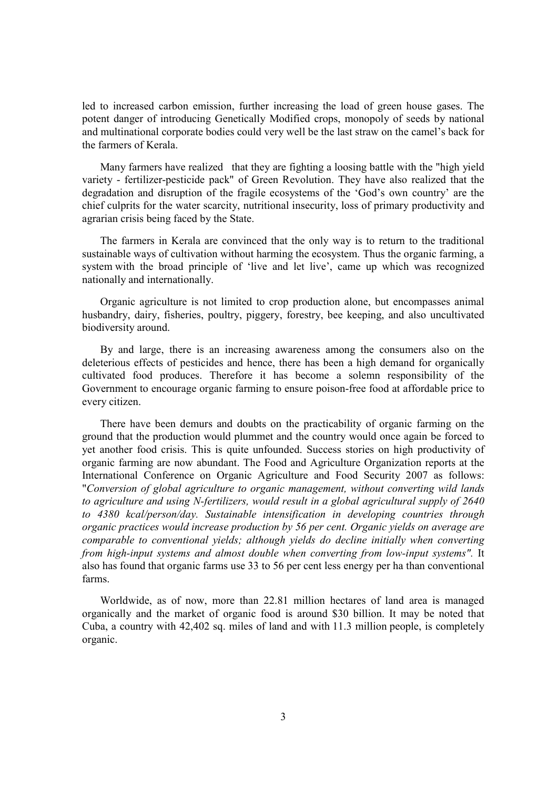led to increased carbon emission, further increasing the load of green house gases. The potent danger of introducing Genetically Modified crops, monopoly of seeds by national and multinational corporate bodies could very well be the last straw on the camel's back for the farmers of Kerala.

Many farmers have realized that they are fighting a loosing battle with the "high yield variety - fertilizer-pesticide pack" of Green Revolution. They have also realized that the degradation and disruption of the fragile ecosystems of the 'God's own country' are the chief culprits for the water scarcity, nutritional insecurity, loss of primary productivity and agrarian crisis being faced by the State.

The farmers in Kerala are convinced that the only way is to return to the traditional sustainable ways of cultivation without harming the ecosystem. Thus the organic farming, a system with the broad principle of 'live and let live', came up which was recognized nationally and internationally.

Organic agriculture is not limited to crop production alone, but encompasses animal husbandry, dairy, fisheries, poultry, piggery, forestry, bee keeping, and also uncultivated biodiversity around.

By and large, there is an increasing awareness among the consumers also on the deleterious effects of pesticides and hence, there has been a high demand for organically cultivated food produces. Therefore it has become a solemn responsibility of the Government to encourage organic farming to ensure poison-free food at affordable price to every citizen.

There have been demurs and doubts on the practicability of organic farming on the ground that the production would plummet and the country would once again be forced to yet another food crisis. This is quite unfounded. Success stories on high productivity of organic farming are now abundant. The Food and Agriculture Organization reports at the International Conference on Organic Agriculture and Food Security 2007 as follows: "*Conversion of global agriculture to organic management, without converting wild lands*  to agriculture and using N-fertilizers, would result in a global agricultural supply of 2640 *to 4380 kcal/person/day. Sustainable intensification in developing countries through organic practices would increase production by 56 per cent. Organic yields on average are comparable to conventional yields; although yields do decline initially when converting from high-input systems and almost double when converting from low-input systems".* It also has found that organic farms use 33 to 56 per cent less energy per ha than conventional farms.

Worldwide, as of now, more than 22.81 million hectares of land area is managed organically and the market of organic food is around \$30 billion. It may be noted that Cuba, a country with 42,402 sq. miles of land and with 11.3 million people, is completely organic.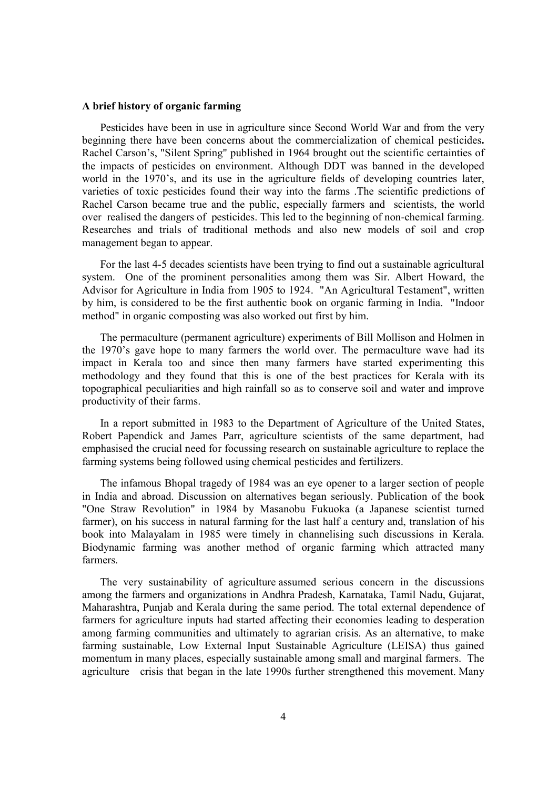#### **A brief history of organic farming**

Pesticides have been in use in agriculture since Second World War and from the very beginning there have been concerns about the commercialization of chemical pesticides**.**  Rachel Carson's, "Silent Spring" published in 1964 brought out the scientific certainties of the impacts of pesticides on environment. Although DDT was banned in the developed world in the 1970's, and its use in the agriculture fields of developing countries later, varieties of toxic pesticides found their way into the farms .The scientific predictions of Rachel Carson became true and the public, especially farmers and scientists, the world over realised the dangers of pesticides. This led to the beginning of non-chemical farming. Researches and trials of traditional methods and also new models of soil and crop management began to appear.

For the last 4-5 decades scientists have been trying to find out a sustainable agricultural system. One of the prominent personalities among them was Sir. Albert Howard, the Advisor for Agriculture in India from 1905 to 1924. "An Agricultural Testament", written by him, is considered to be the first authentic book on organic farming in India. "Indoor method" in organic composting was also worked out first by him.

The permaculture (permanent agriculture) experiments of Bill Mollison and Holmen in the 1970's gave hope to many farmers the world over. The permaculture wave had its impact in Kerala too and since then many farmers have started experimenting this methodology and they found that this is one of the best practices for Kerala with its topographical peculiarities and high rainfall so as to conserve soil and water and improve productivity of their farms.

In a report submitted in 1983 to the Department of Agriculture of the United States, Robert Papendick and James Parr, agriculture scientists of the same department, had emphasised the crucial need for focussing research on sustainable agriculture to replace the farming systems being followed using chemical pesticides and fertilizers.

The infamous Bhopal tragedy of 1984 was an eye opener to a larger section of people in India and abroad. Discussion on alternatives began seriously. Publication of the book "One Straw Revolution" in 1984 by Masanobu Fukuoka (a Japanese scientist turned farmer), on his success in natural farming for the last half a century and, translation of his book into Malayalam in 1985 were timely in channelising such discussions in Kerala. Biodynamic farming was another method of organic farming which attracted many farmers.

The very sustainability of agriculture assumed serious concern in the discussions among the farmers and organizations in Andhra Pradesh, Karnataka, Tamil Nadu, Gujarat, Maharashtra, Punjab and Kerala during the same period. The total external dependence of farmers for agriculture inputs had started affecting their economies leading to desperation among farming communities and ultimately to agrarian crisis. As an alternative, to make farming sustainable, Low External Input Sustainable Agriculture (LEISA) thus gained momentum in many places, especially sustainable among small and marginal farmers. The agriculture crisis that began in the late 1990s further strengthened this movement. Many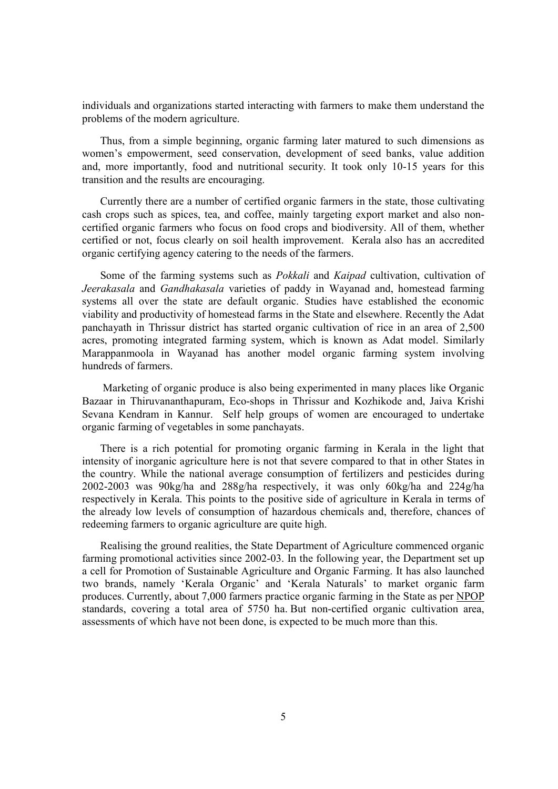individuals and organizations started interacting with farmers to make them understand the problems of the modern agriculture.

Thus, from a simple beginning, organic farming later matured to such dimensions as women's empowerment, seed conservation, development of seed banks, value addition and, more importantly, food and nutritional security. It took only 10-15 years for this transition and the results are encouraging.

Currently there are a number of certified organic farmers in the state, those cultivating cash crops such as spices, tea, and coffee, mainly targeting export market and also noncertified organic farmers who focus on food crops and biodiversity. All of them, whether certified or not, focus clearly on soil health improvement. Kerala also has an accredited organic certifying agency catering to the needs of the farmers.

Some of the farming systems such as *Pokkali* and *Kaipad* cultivation, cultivation of *Jeerakasala* and *Gandhakasala* varieties of paddy in Wayanad and, homestead farming systems all over the state are default organic. Studies have established the economic viability and productivity of homestead farms in the State and elsewhere. Recently the Adat panchayath in Thrissur district has started organic cultivation of rice in an area of 2,500 acres, promoting integrated farming system, which is known as Adat model. Similarly Marappanmoola in Wayanad has another model organic farming system involving hundreds of farmers.

 Marketing of organic produce is also being experimented in many places like Organic Bazaar in Thiruvananthapuram, Eco-shops in Thrissur and Kozhikode and, Jaiva Krishi Sevana Kendram in Kannur. Self help groups of women are encouraged to undertake organic farming of vegetables in some panchayats.

There is a rich potential for promoting organic farming in Kerala in the light that intensity of inorganic agriculture here is not that severe compared to that in other States in the country. While the national average consumption of fertilizers and pesticides during 2002-2003 was 90kg/ha and 288g/ha respectively, it was only 60kg/ha and 224g/ha respectively in Kerala. This points to the positive side of agriculture in Kerala in terms of the already low levels of consumption of hazardous chemicals and, therefore, chances of redeeming farmers to organic agriculture are quite high.

Realising the ground realities, the State Department of Agriculture commenced organic farming promotional activities since 2002-03. In the following year, the Department set up a cell for Promotion of Sustainable Agriculture and Organic Farming. It has also launched two brands, namely 'Kerala Organic' and 'Kerala Naturals' to market organic farm produces. Currently, about 7,000 farmers practice organic farming in the State as per NPOP standards, covering a total area of 5750 ha. But non-certified organic cultivation area, assessments of which have not been done, is expected to be much more than this.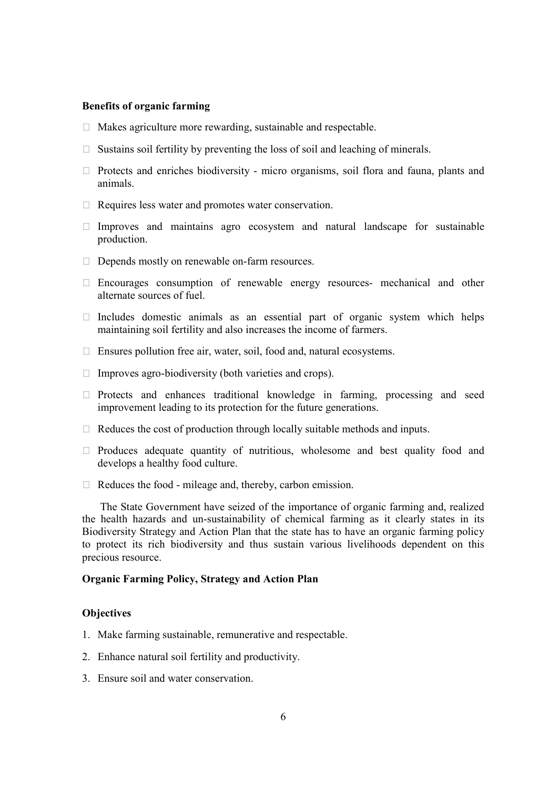## **Benefits of organic farming**

- $\Box$  Makes agriculture more rewarding, sustainable and respectable.
- $\Box$  Sustains soil fertility by preventing the loss of soil and leaching of minerals.
- $\Box$  Protects and enriches biodiversity micro organisms, soil flora and fauna, plants and animals.
- $\Box$  Requires less water and promotes water conservation.
- $\Box$  Improves and maintains agro ecosystem and natural landscape for sustainable production.
- $\Box$  Depends mostly on renewable on-farm resources.
- $\Box$  Encourages consumption of renewable energy resources- mechanical and other alternate sources of fuel.
- $\Box$  Includes domestic animals as an essential part of organic system which helps maintaining soil fertility and also increases the income of farmers.
- $\Box$  Ensures pollution free air, water, soil, food and, natural ecosystems.
- $\Box$  Improves agro-biodiversity (both varieties and crops).
- $\Box$  Protects and enhances traditional knowledge in farming, processing and seed improvement leading to its protection for the future generations.
- $\Box$  Reduces the cost of production through locally suitable methods and inputs.
- $\Box$  Produces adequate quantity of nutritious, wholesome and best quality food and develops a healthy food culture.
- $\Box$  Reduces the food mileage and, thereby, carbon emission.

The State Government have seized of the importance of organic farming and, realized the health hazards and un-sustainability of chemical farming as it clearly states in its Biodiversity Strategy and Action Plan that the state has to have an organic farming policy to protect its rich biodiversity and thus sustain various livelihoods dependent on this precious resource.

## **Organic Farming Policy, Strategy and Action Plan**

#### **Objectives**

- 1. Make farming sustainable, remunerative and respectable.
- 2. Enhance natural soil fertility and productivity.
- 3. Ensure soil and water conservation.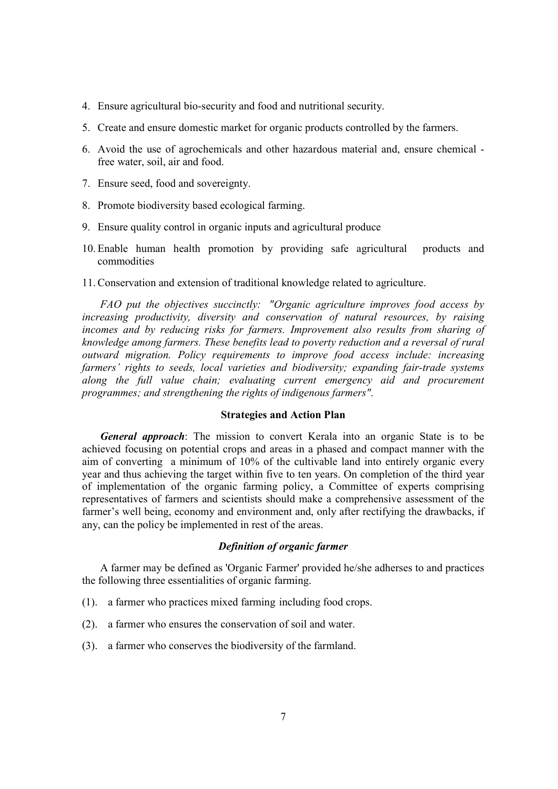- 4. Ensure agricultural bio-security and food and nutritional security.
- 5. Create and ensure domestic market for organic products controlled by the farmers.
- 6. Avoid the use of agrochemicals and other hazardous material and, ensure chemical free water, soil, air and food.
- 7. Ensure seed, food and sovereignty.
- 8. Promote biodiversity based ecological farming.
- 9. Ensure quality control in organic inputs and agricultural produce
- 10. Enable human health promotion by providing safe agricultural products and commodities
- 11. Conservation and extension of traditional knowledge related to agriculture.

*FAO put the objectives succinctly: "Organic agriculture improves food access by increasing productivity, diversity and conservation of natural resources, by raising incomes and by reducing risks for farmers. Improvement also results from sharing of knowledge among farmers. These benefits lead to poverty reduction and a reversal of rural outward migration. Policy requirements to improve food access include: increasing farmers' rights to seeds, local varieties and biodiversity; expanding fair-trade systems along the full value chain; evaluating current emergency aid and procurement programmes; and strengthening the rights of indigenous farmers".*

#### **Strategies and Action Plan**

*General approach*: The mission to convert Kerala into an organic State is to be achieved focusing on potential crops and areas in a phased and compact manner with the aim of converting a minimum of 10% of the cultivable land into entirely organic every year and thus achieving the target within five to ten years. On completion of the third year of implementation of the organic farming policy, a Committee of experts comprising representatives of farmers and scientists should make a comprehensive assessment of the farmer's well being, economy and environment and, only after rectifying the drawbacks, if any, can the policy be implemented in rest of the areas.

## *Definition of organic farmer*

A farmer may be defined as 'Organic Farmer' provided he/she adherses to and practices the following three essentialities of organic farming.

- (1). a farmer who practices mixed farming including food crops.
- (2). a farmer who ensures the conservation of soil and water.
- (3). a farmer who conserves the biodiversity of the farmland.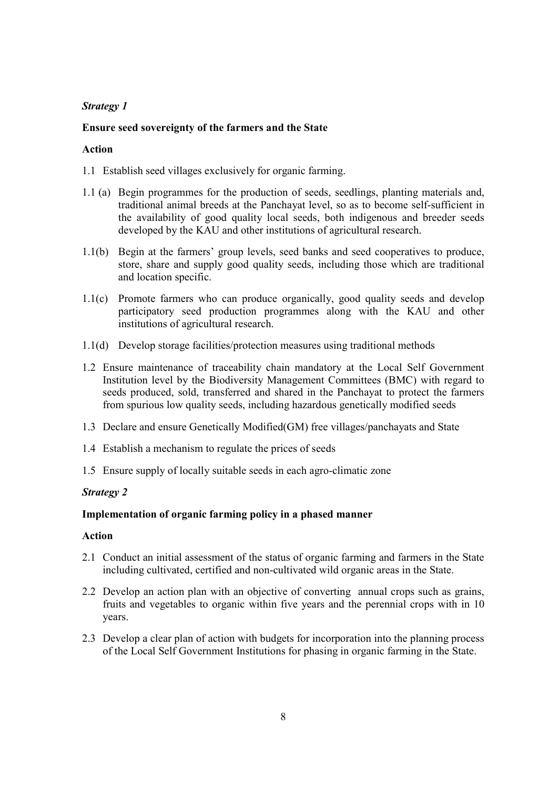## **Ensure seed sovereignty of the farmers and the State**

## **Action**

- 1.1 Establish seed villages exclusively for organic farming.
- 1.1 (a) Begin programmes for the production of seeds, seedlings, planting materials and, traditional animal breeds at the Panchayat level, so as to become self-sufficient in the availability of good quality local seeds, both indigenous and breeder seeds developed by the KAU and other institutions of agricultural research.
- 1.1(b) Begin at the farmers' group levels, seed banks and seed cooperatives to produce, store, share and supply good quality seeds, including those which are traditional and location specific.
- 1.1(c) Promote farmers who can produce organically, good quality seeds and develop participatory seed production programmes along with the KAU and other institutions of agricultural research.
- 1.1(d) Develop storage facilities/protection measures using traditional methods
- 1.2 Ensure maintenance of traceability chain mandatory at the Local Self Government Institution level by the Biodiversity Management Committees (BMC) with regard to seeds produced, sold, transferred and shared in the Panchayat to protect the farmers from spurious low quality seeds, including hazardous genetically modified seeds
- 1.3 Declare and ensure Genetically Modified(GM) free villages/panchayats and State
- 1.4 Establish a mechanism to regulate the prices of seeds
- 1.5 Ensure supply of locally suitable seeds in each agro-climatic zone

## *Strategy 2*

## **Implementation of organic farming policy in a phased manner**

- 2.1 Conduct an initial assessment of the status of organic farming and farmers in the State including cultivated, certified and non-cultivated wild organic areas in the State.
- 2.2 Develop an action plan with an objective of converting annual crops such as grains, fruits and vegetables to organic within five years and the perennial crops with in 10 years.
- 2.3 Develop a clear plan of action with budgets for incorporation into the planning process of the Local Self Government Institutions for phasing in organic farming in the State.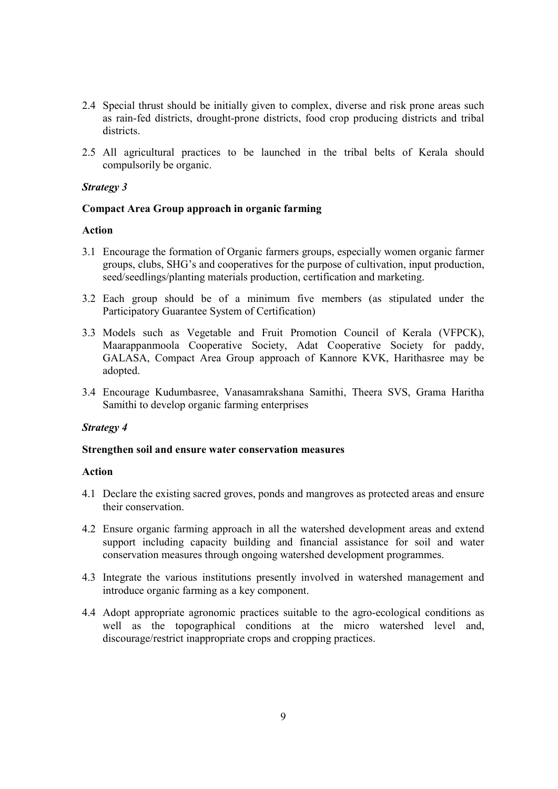- 2.4 Special thrust should be initially given to complex, diverse and risk prone areas such as rain-fed districts, drought-prone districts, food crop producing districts and tribal districts.
- 2.5 All agricultural practices to be launched in the tribal belts of Kerala should compulsorily be organic.

#### **Compact Area Group approach in organic farming**

## **Action**

- 3.1 Encourage the formation of Organic farmers groups, especially women organic farmer groups, clubs, SHG's and cooperatives for the purpose of cultivation, input production, seed/seedlings/planting materials production, certification and marketing.
- 3.2 Each group should be of a minimum five members (as stipulated under the Participatory Guarantee System of Certification)
- 3.3 Models such as Vegetable and Fruit Promotion Council of Kerala (VFPCK), Maarappanmoola Cooperative Society, Adat Cooperative Society for paddy, GALASA, Compact Area Group approach of Kannore KVK, Harithasree may be adopted.
- 3.4 Encourage Kudumbasree, Vanasamrakshana Samithi, Theera SVS, Grama Haritha Samithi to develop organic farming enterprises

#### *Strategy 4*

#### **Strengthen soil and ensure water conservation measures**

- 4.1 Declare the existing sacred groves, ponds and mangroves as protected areas and ensure their conservation.
- 4.2 Ensure organic farming approach in all the watershed development areas and extend support including capacity building and financial assistance for soil and water conservation measures through ongoing watershed development programmes.
- 4.3 Integrate the various institutions presently involved in watershed management and introduce organic farming as a key component.
- 4.4 Adopt appropriate agronomic practices suitable to the agro-ecological conditions as well as the topographical conditions at the micro watershed level and, discourage/restrict inappropriate crops and cropping practices.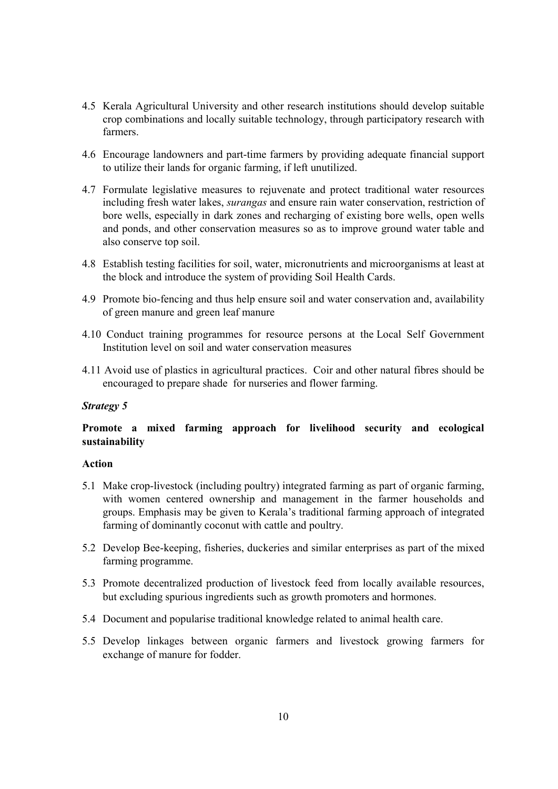- 4.5 Kerala Agricultural University and other research institutions should develop suitable crop combinations and locally suitable technology, through participatory research with farmers.
- 4.6 Encourage landowners and part-time farmers by providing adequate financial support to utilize their lands for organic farming, if left unutilized.
- 4.7 Formulate legislative measures to rejuvenate and protect traditional water resources including fresh water lakes, *surangas* and ensure rain water conservation, restriction of bore wells, especially in dark zones and recharging of existing bore wells, open wells and ponds, and other conservation measures so as to improve ground water table and also conserve top soil.
- 4.8 Establish testing facilities for soil, water, micronutrients and microorganisms at least at the block and introduce the system of providing Soil Health Cards.
- 4.9 Promote bio-fencing and thus help ensure soil and water conservation and, availability of green manure and green leaf manure
- 4.10 Conduct training programmes for resource persons at the Local Self Government Institution level on soil and water conservation measures
- 4.11 Avoid use of plastics in agricultural practices. Coir and other natural fibres should be encouraged to prepare shade for nurseries and flower farming.

## **Promote a mixed farming approach for livelihood security and ecological sustainability**

- 5.1 Make crop-livestock (including poultry) integrated farming as part of organic farming, with women centered ownership and management in the farmer households and groups. Emphasis may be given to Kerala's traditional farming approach of integrated farming of dominantly coconut with cattle and poultry.
- 5.2 Develop Bee-keeping, fisheries, duckeries and similar enterprises as part of the mixed farming programme.
- 5.3 Promote decentralized production of livestock feed from locally available resources, but excluding spurious ingredients such as growth promoters and hormones.
- 5.4 Document and popularise traditional knowledge related to animal health care.
- 5.5 Develop linkages between organic farmers and livestock growing farmers for exchange of manure for fodder.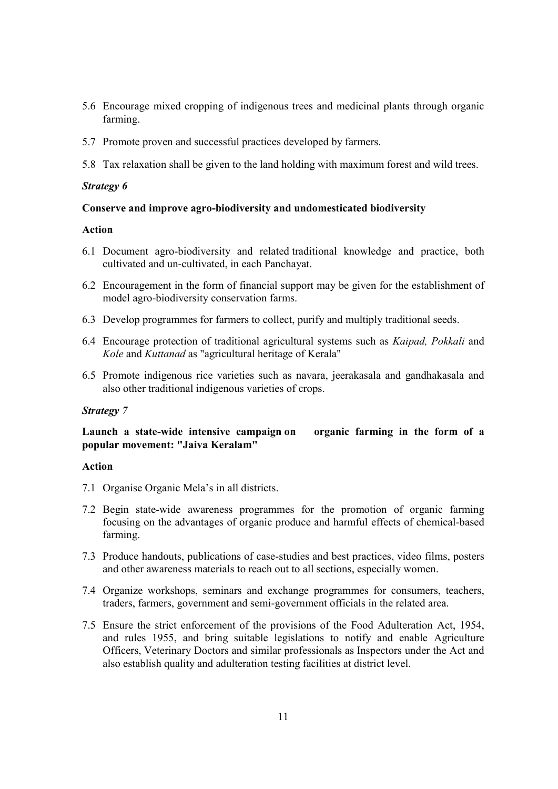- 5.6 Encourage mixed cropping of indigenous trees and medicinal plants through organic farming.
- 5.7 Promote proven and successful practices developed by farmers.
- 5.8 Tax relaxation shall be given to the land holding with maximum forest and wild trees.

#### **Conserve and improve agro-biodiversity and undomesticated biodiversity**

## **Action**

- 6.1 Document agro-biodiversity and related traditional knowledge and practice, both cultivated and un-cultivated, in each Panchayat.
- 6.2 Encouragement in the form of financial support may be given for the establishment of model agro-biodiversity conservation farms.
- 6.3 Develop programmes for farmers to collect, purify and multiply traditional seeds.
- 6.4 Encourage protection of traditional agricultural systems such as *Kaipad, Pokkali* and *Kole* and *Kuttanad* as "agricultural heritage of Kerala"
- 6.5 Promote indigenous rice varieties such as navara, jeerakasala and gandhakasala and also other traditional indigenous varieties of crops.

#### *Strategy 7*

## **Launch a state-wide intensive campaign on organic farming in the form of a popular movement: "Jaiva Keralam"**

- 7.1 Organise Organic Mela's in all districts.
- 7.2 Begin state-wide awareness programmes for the promotion of organic farming focusing on the advantages of organic produce and harmful effects of chemical-based farming.
- 7.3 Produce handouts, publications of case-studies and best practices, video films, posters and other awareness materials to reach out to all sections, especially women.
- 7.4 Organize workshops, seminars and exchange programmes for consumers, teachers, traders, farmers, government and semi-government officials in the related area.
- 7.5 Ensure the strict enforcement of the provisions of the Food Adulteration Act, 1954, and rules 1955, and bring suitable legislations to notify and enable Agriculture Officers, Veterinary Doctors and similar professionals as Inspectors under the Act and also establish quality and adulteration testing facilities at district level.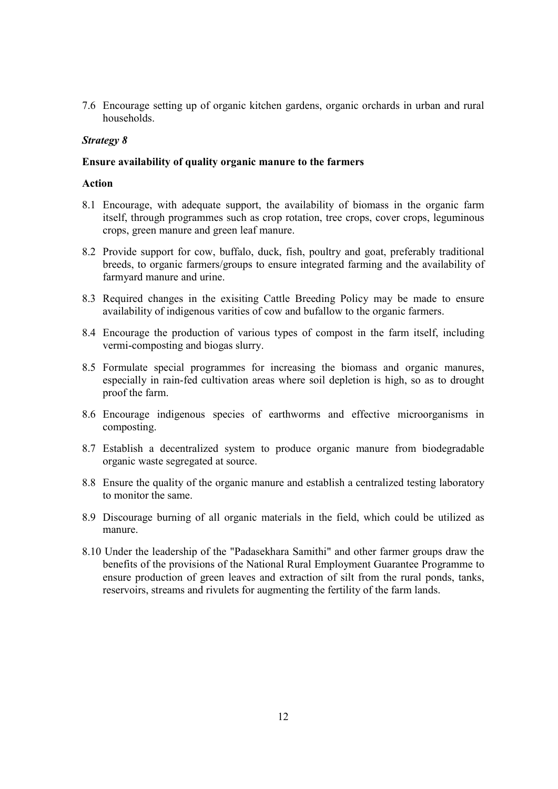7.6 Encourage setting up of organic kitchen gardens, organic orchards in urban and rural households.

#### *Strategy 8*

#### **Ensure availability of quality organic manure to the farmers**

- 8.1 Encourage, with adequate support, the availability of biomass in the organic farm itself, through programmes such as crop rotation, tree crops, cover crops, leguminous crops, green manure and green leaf manure.
- 8.2 Provide support for cow, buffalo, duck, fish, poultry and goat, preferably traditional breeds, to organic farmers/groups to ensure integrated farming and the availability of farmyard manure and urine.
- 8.3 Required changes in the exisiting Cattle Breeding Policy may be made to ensure availability of indigenous varities of cow and bufallow to the organic farmers.
- 8.4 Encourage the production of various types of compost in the farm itself, including vermi-composting and biogas slurry.
- 8.5 Formulate special programmes for increasing the biomass and organic manures, especially in rain-fed cultivation areas where soil depletion is high, so as to drought proof the farm.
- 8.6 Encourage indigenous species of earthworms and effective microorganisms in composting.
- 8.7 Establish a decentralized system to produce organic manure from biodegradable organic waste segregated at source.
- 8.8 Ensure the quality of the organic manure and establish a centralized testing laboratory to monitor the same.
- 8.9 Discourage burning of all organic materials in the field, which could be utilized as manure.
- 8.10 Under the leadership of the "Padasekhara Samithi" and other farmer groups draw the benefits of the provisions of the National Rural Employment Guarantee Programme to ensure production of green leaves and extraction of silt from the rural ponds, tanks, reservoirs, streams and rivulets for augmenting the fertility of the farm lands.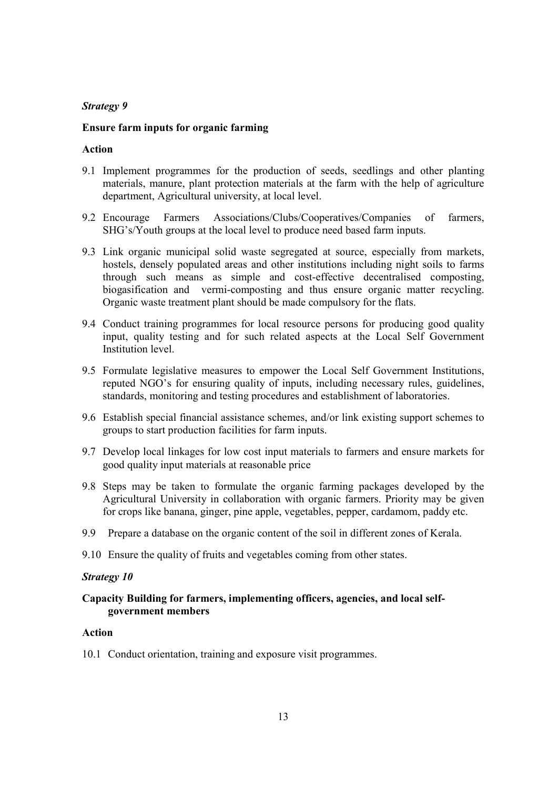## **Ensure farm inputs for organic farming**

## **Action**

- 9.1 Implement programmes for the production of seeds, seedlings and other planting materials, manure, plant protection materials at the farm with the help of agriculture department, Agricultural university, at local level.
- 9.2 Encourage Farmers Associations/Clubs/Cooperatives/Companies of farmers, SHG's/Youth groups at the local level to produce need based farm inputs.
- 9.3 Link organic municipal solid waste segregated at source, especially from markets, hostels, densely populated areas and other institutions including night soils to farms through such means as simple and cost-effective decentralised composting, biogasification and vermi-composting and thus ensure organic matter recycling. Organic waste treatment plant should be made compulsory for the flats.
- 9.4 Conduct training programmes for local resource persons for producing good quality input, quality testing and for such related aspects at the Local Self Government Institution level.
- 9.5 Formulate legislative measures to empower the Local Self Government Institutions, reputed NGO's for ensuring quality of inputs, including necessary rules, guidelines, standards, monitoring and testing procedures and establishment of laboratories.
- 9.6 Establish special financial assistance schemes, and/or link existing support schemes to groups to start production facilities for farm inputs.
- 9.7 Develop local linkages for low cost input materials to farmers and ensure markets for good quality input materials at reasonable price
- 9.8 Steps may be taken to formulate the organic farming packages developed by the Agricultural University in collaboration with organic farmers. Priority may be given for crops like banana, ginger, pine apple, vegetables, pepper, cardamom, paddy etc.
- 9.9 Prepare a database on the organic content of the soil in different zones of Kerala.
- 9.10 Ensure the quality of fruits and vegetables coming from other states.

#### *Strategy 10*

## **Capacity Building for farmers, implementing officers, agencies, and local selfgovernment members**

## **Action**

10.1 Conduct orientation, training and exposure visit programmes.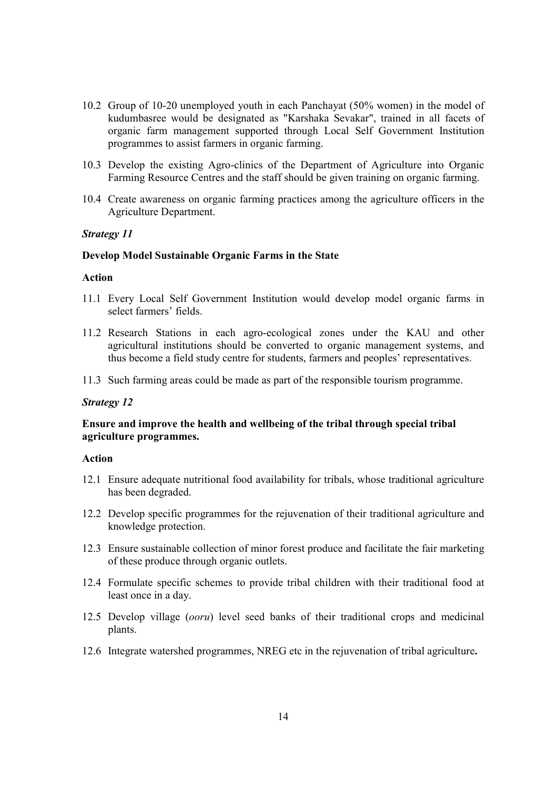- 10.2 Group of 10-20 unemployed youth in each Panchayat (50% women) in the model of kudumbasree would be designated as "Karshaka Sevakar", trained in all facets of organic farm management supported through Local Self Government Institution programmes to assist farmers in organic farming.
- 10.3 Develop the existing Agro-clinics of the Department of Agriculture into Organic Farming Resource Centres and the staff should be given training on organic farming.
- 10.4 Create awareness on organic farming practices among the agriculture officers in the Agriculture Department.

#### **Develop Model Sustainable Organic Farms in the State**

## **Action**

- 11.1 Every Local Self Government Institution would develop model organic farms in select farmers' fields.
- 11.2 Research Stations in each agro-ecological zones under the KAU and other agricultural institutions should be converted to organic management systems, and thus become a field study centre for students, farmers and peoples' representatives.
- 11.3 Such farming areas could be made as part of the responsible tourism programme.

#### *Strategy 12*

#### **Ensure and improve the health and wellbeing of the tribal through special tribal agriculture programmes.**

- 12.1 Ensure adequate nutritional food availability for tribals, whose traditional agriculture has been degraded.
- 12.2 Develop specific programmes for the rejuvenation of their traditional agriculture and knowledge protection.
- 12.3 Ensure sustainable collection of minor forest produce and facilitate the fair marketing of these produce through organic outlets.
- 12.4 Formulate specific schemes to provide tribal children with their traditional food at least once in a day.
- 12.5 Develop village (*ooru*) level seed banks of their traditional crops and medicinal plants.
- 12.6 Integrate watershed programmes, NREG etc in the rejuvenation of tribal agriculture**.**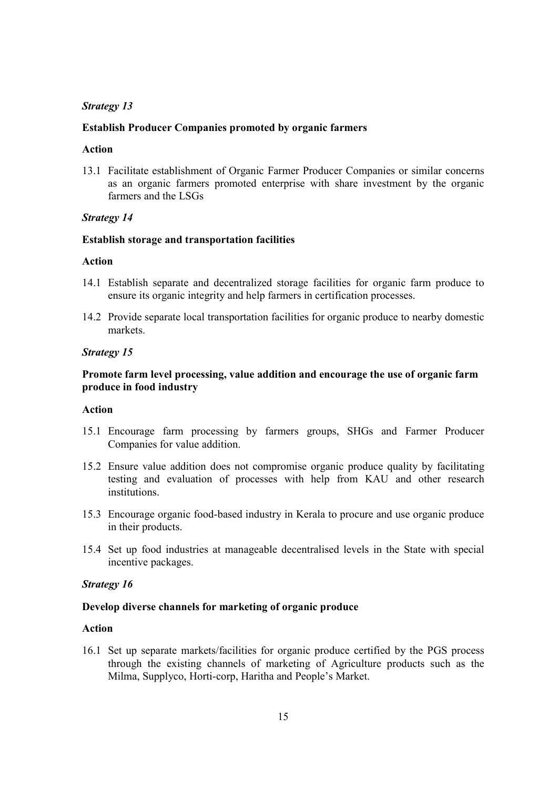#### **Establish Producer Companies promoted by organic farmers**

#### **Action**

13.1 Facilitate establishment of Organic Farmer Producer Companies or similar concerns as an organic farmers promoted enterprise with share investment by the organic farmers and the LSGs

#### *Strategy 14*

#### **Establish storage and transportation facilities**

## **Action**

- 14.1 Establish separate and decentralized storage facilities for organic farm produce to ensure its organic integrity and help farmers in certification processes.
- 14.2 Provide separate local transportation facilities for organic produce to nearby domestic markets.

## *Strategy 15*

## **Promote farm level processing, value addition and encourage the use of organic farm produce in food industry**

#### **Action**

- 15.1 Encourage farm processing by farmers groups, SHGs and Farmer Producer Companies for value addition.
- 15.2 Ensure value addition does not compromise organic produce quality by facilitating testing and evaluation of processes with help from KAU and other research institutions.
- 15.3 Encourage organic food-based industry in Kerala to procure and use organic produce in their products.
- 15.4 Set up food industries at manageable decentralised levels in the State with special incentive packages.

## *Strategy 16*

#### **Develop diverse channels for marketing of organic produce**

#### **Action**

16.1 Set up separate markets/facilities for organic produce certified by the PGS process through the existing channels of marketing of Agriculture products such as the Milma, Supplyco, Horti-corp, Haritha and People's Market.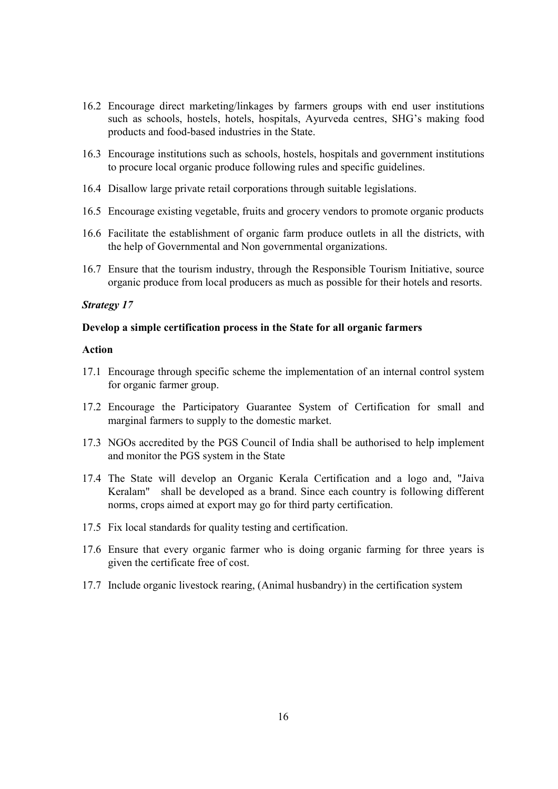- 16.2 Encourage direct marketing/linkages by farmers groups with end user institutions such as schools, hostels, hotels, hospitals, Ayurveda centres, SHG's making food products and food-based industries in the State.
- 16.3 Encourage institutions such as schools, hostels, hospitals and government institutions to procure local organic produce following rules and specific guidelines.
- 16.4 Disallow large private retail corporations through suitable legislations.
- 16.5 Encourage existing vegetable, fruits and grocery vendors to promote organic products
- 16.6 Facilitate the establishment of organic farm produce outlets in all the districts, with the help of Governmental and Non governmental organizations.
- 16.7 Ensure that the tourism industry, through the Responsible Tourism Initiative, source organic produce from local producers as much as possible for their hotels and resorts.

## **Develop a simple certification process in the State for all organic farmers**

- 17.1 Encourage through specific scheme the implementation of an internal control system for organic farmer group.
- 17.2 Encourage the Participatory Guarantee System of Certification for small and marginal farmers to supply to the domestic market.
- 17.3 NGOs accredited by the PGS Council of India shall be authorised to help implement and monitor the PGS system in the State
- 17.4 The State will develop an Organic Kerala Certification and a logo and, "Jaiva Keralam" shall be developed as a brand. Since each country is following different norms, crops aimed at export may go for third party certification.
- 17.5 Fix local standards for quality testing and certification.
- 17.6 Ensure that every organic farmer who is doing organic farming for three years is given the certificate free of cost.
- 17.7 Include organic livestock rearing, (Animal husbandry) in the certification system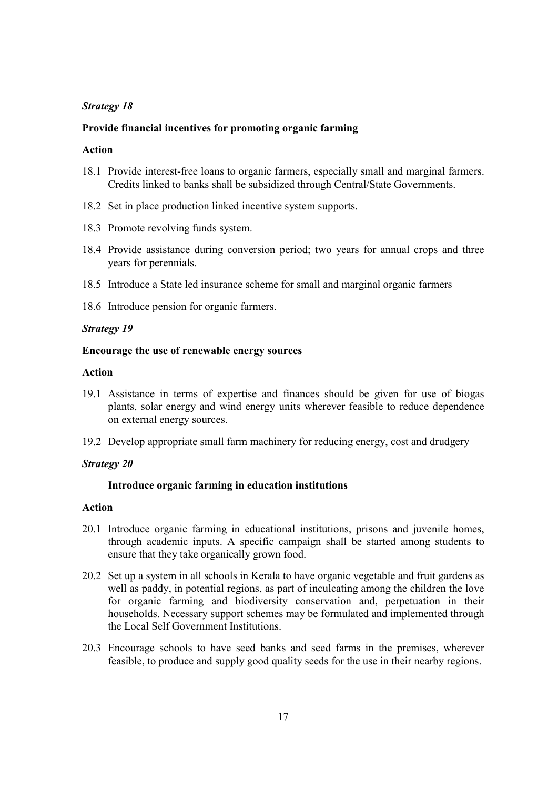#### **Provide financial incentives for promoting organic farming**

#### **Action**

- 18.1 Provide interest-free loans to organic farmers, especially small and marginal farmers. Credits linked to banks shall be subsidized through Central/State Governments.
- 18.2 Set in place production linked incentive system supports.
- 18.3 Promote revolving funds system.
- 18.4 Provide assistance during conversion period; two years for annual crops and three years for perennials.
- 18.5 Introduce a State led insurance scheme for small and marginal organic farmers
- 18.6 Introduce pension for organic farmers.

#### *Strategy 19*

#### **Encourage the use of renewable energy sources**

#### **Action**

- 19.1 Assistance in terms of expertise and finances should be given for use of biogas plants, solar energy and wind energy units wherever feasible to reduce dependence on external energy sources.
- 19.2 Develop appropriate small farm machinery for reducing energy, cost and drudgery

## *Strategy 20*

#### **Introduce organic farming in education institutions**

- 20.1 Introduce organic farming in educational institutions, prisons and juvenile homes, through academic inputs. A specific campaign shall be started among students to ensure that they take organically grown food.
- 20.2 Set up a system in all schools in Kerala to have organic vegetable and fruit gardens as well as paddy, in potential regions, as part of inculcating among the children the love for organic farming and biodiversity conservation and, perpetuation in their households. Necessary support schemes may be formulated and implemented through the Local Self Government Institutions.
- 20.3 Encourage schools to have seed banks and seed farms in the premises, wherever feasible, to produce and supply good quality seeds for the use in their nearby regions.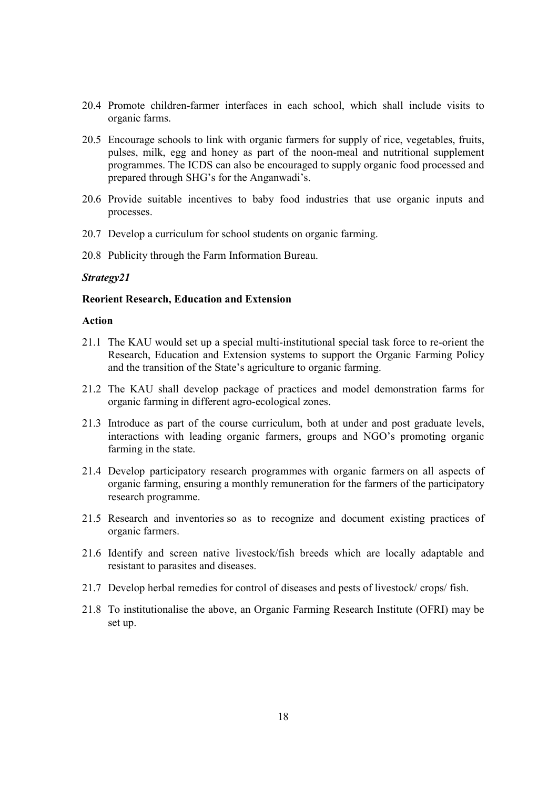- 20.4 Promote children-farmer interfaces in each school, which shall include visits to organic farms.
- 20.5 Encourage schools to link with organic farmers for supply of rice, vegetables, fruits, pulses, milk, egg and honey as part of the noon-meal and nutritional supplement programmes. The ICDS can also be encouraged to supply organic food processed and prepared through SHG's for the Anganwadi's.
- 20.6 Provide suitable incentives to baby food industries that use organic inputs and processes.
- 20.7 Develop a curriculum for school students on organic farming.
- 20.8 Publicity through the Farm Information Bureau.

#### **Reorient Research, Education and Extension**

- 21.1 The KAU would set up a special multi-institutional special task force to re-orient the Research, Education and Extension systems to support the Organic Farming Policy and the transition of the State's agriculture to organic farming.
- 21.2 The KAU shall develop package of practices and model demonstration farms for organic farming in different agro-ecological zones.
- 21.3 Introduce as part of the course curriculum, both at under and post graduate levels, interactions with leading organic farmers, groups and NGO's promoting organic farming in the state.
- 21.4 Develop participatory research programmes with organic farmers on all aspects of organic farming, ensuring a monthly remuneration for the farmers of the participatory research programme.
- 21.5 Research and inventories so as to recognize and document existing practices of organic farmers.
- 21.6 Identify and screen native livestock/fish breeds which are locally adaptable and resistant to parasites and diseases.
- 21.7 Develop herbal remedies for control of diseases and pests of livestock/ crops/ fish.
- 21.8 To institutionalise the above, an Organic Farming Research Institute (OFRI) may be set up.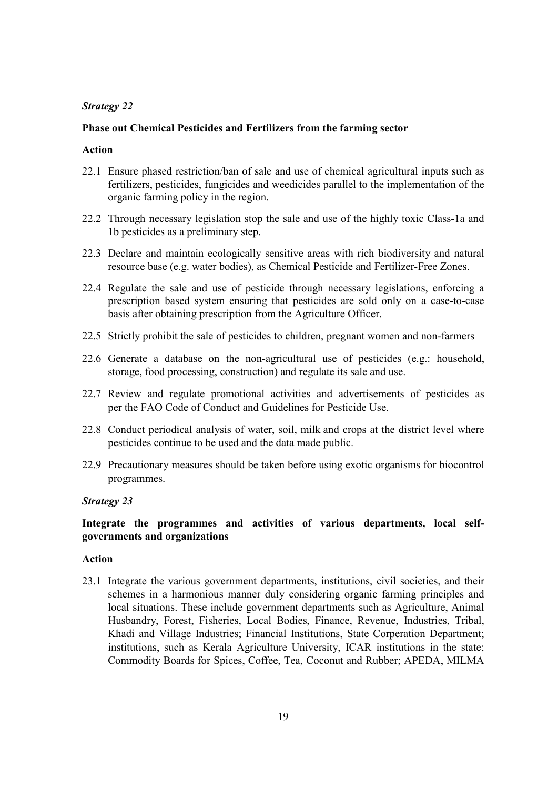## **Phase out Chemical Pesticides and Fertilizers from the farming sector**

## **Action**

- 22.1 Ensure phased restriction/ban of sale and use of chemical agricultural inputs such as fertilizers, pesticides, fungicides and weedicides parallel to the implementation of the organic farming policy in the region.
- 22.2 Through necessary legislation stop the sale and use of the highly toxic Class-1a and 1b pesticides as a preliminary step.
- 22.3 Declare and maintain ecologically sensitive areas with rich biodiversity and natural resource base (e.g. water bodies), as Chemical Pesticide and Fertilizer-Free Zones.
- 22.4 Regulate the sale and use of pesticide through necessary legislations, enforcing a prescription based system ensuring that pesticides are sold only on a case-to-case basis after obtaining prescription from the Agriculture Officer.
- 22.5 Strictly prohibit the sale of pesticides to children, pregnant women and non-farmers
- 22.6 Generate a database on the non-agricultural use of pesticides (e.g.: household, storage, food processing, construction) and regulate its sale and use.
- 22.7 Review and regulate promotional activities and advertisements of pesticides as per the FAO Code of Conduct and Guidelines for Pesticide Use.
- 22.8 Conduct periodical analysis of water, soil, milk and crops at the district level where pesticides continue to be used and the data made public.
- 22.9 Precautionary measures should be taken before using exotic organisms for biocontrol programmes.

#### *Strategy 23*

## **Integrate the programmes and activities of various departments, local selfgovernments and organizations**

## **Action**

23.1 Integrate the various government departments, institutions, civil societies, and their schemes in a harmonious manner duly considering organic farming principles and local situations. These include government departments such as Agriculture, Animal Husbandry, Forest, Fisheries, Local Bodies, Finance, Revenue, Industries, Tribal, Khadi and Village Industries; Financial Institutions, State Corperation Department; institutions, such as Kerala Agriculture University, ICAR institutions in the state; Commodity Boards for Spices, Coffee, Tea, Coconut and Rubber; APEDA, MILMA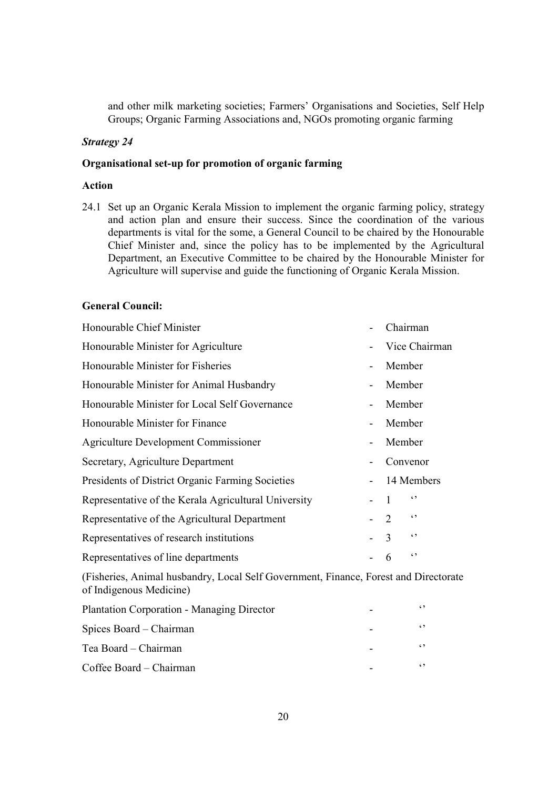and other milk marketing societies; Farmers' Organisations and Societies, Self Help Groups; Organic Farming Associations and, NGOs promoting organic farming

#### *Strategy 24*

#### **Organisational set-up for promotion of organic farming**

## **Action**

24.1 Set up an Organic Kerala Mission to implement the organic farming policy, strategy and action plan and ensure their success. Since the coordination of the various departments is vital for the some, a General Council to be chaired by the Honourable Chief Minister and, since the policy has to be implemented by the Agricultural Department, an Executive Committee to be chaired by the Honourable Minister for Agriculture will supervise and guide the functioning of Organic Kerala Mission.

#### **General Council:**

| Honourable Chief Minister                                                         | Chairman                    |               |  |  |
|-----------------------------------------------------------------------------------|-----------------------------|---------------|--|--|
| Honourable Minister for Agriculture                                               |                             | Vice Chairman |  |  |
| Honourable Minister for Fisheries                                                 |                             | Member        |  |  |
| Honourable Minister for Animal Husbandry                                          |                             | Member        |  |  |
| Honourable Minister for Local Self Governance                                     |                             | Member        |  |  |
| Honourable Minister for Finance                                                   |                             | Member        |  |  |
| Agriculture Development Commissioner                                              |                             | Member        |  |  |
| Secretary, Agriculture Department                                                 |                             | Convenor      |  |  |
| Presidents of District Organic Farming Societies                                  |                             | 14 Members    |  |  |
| Representative of the Kerala Agricultural University                              | $\mathbf{1}$                | $\epsilon$    |  |  |
| Representative of the Agricultural Department                                     | $\mathcal{D}_{\mathcal{L}}$ | $\epsilon$    |  |  |
| Representatives of research institutions                                          | $\mathcal{E}$               | $\epsilon$ ,  |  |  |
| Representatives of line departments                                               | 6                           | $\epsilon$    |  |  |
| (Fisheries, Animal bushandry Local Self Government, Finance, Forest and Directora |                             |               |  |  |

(Fisheries, Animal husbandry, Local Self Government, Finance, Forest and Directorate of Indigenous Medicine)

| <b>Plantation Corporation - Managing Director</b> | $\sim$     |
|---------------------------------------------------|------------|
| Spices Board – Chairman                           | $\epsilon$ |
| Tea Board – Chairman                              | $\epsilon$ |
| Coffee Board – Chairman                           | $\sim$     |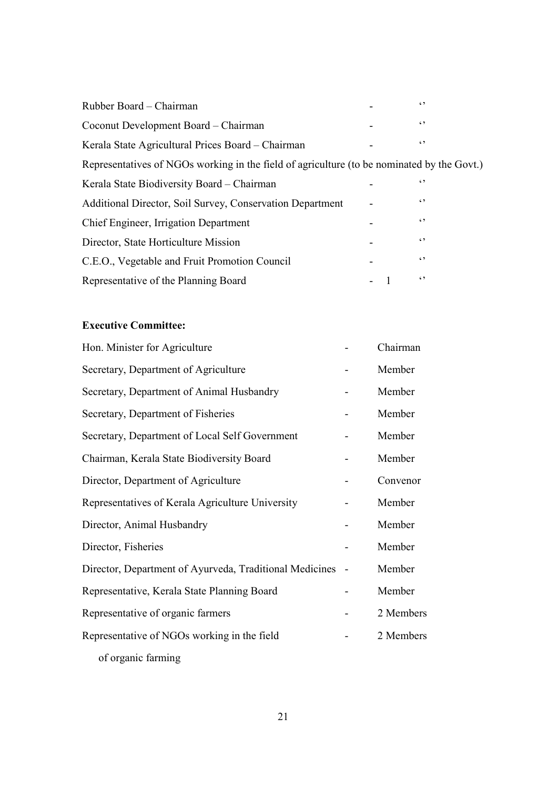| Rubber Board – Chairman                                                                    | $\epsilon$ |  |
|--------------------------------------------------------------------------------------------|------------|--|
| Coconut Development Board – Chairman                                                       | $\epsilon$ |  |
| Kerala State Agricultural Prices Board – Chairman                                          | $\epsilon$ |  |
| Representatives of NGOs working in the field of agriculture (to be nominated by the Govt.) |            |  |
| Kerala State Biodiversity Board – Chairman                                                 | $\epsilon$ |  |
| Additional Director, Soil Survey, Conservation Department                                  | $\epsilon$ |  |
| Chief Engineer, Irrigation Department                                                      | $\epsilon$ |  |
| Director, State Horticulture Mission                                                       | $\epsilon$ |  |
| C.E.O., Vegetable and Fruit Promotion Council                                              | $\epsilon$ |  |
| Representative of the Planning Board                                                       | $\epsilon$ |  |

## **Executive Committee:**

| Hon. Minister for Agriculture                           |                          | Chairman  |
|---------------------------------------------------------|--------------------------|-----------|
| Secretary, Department of Agriculture                    |                          | Member    |
| Secretary, Department of Animal Husbandry               |                          | Member    |
| Secretary, Department of Fisheries                      |                          | Member    |
| Secretary, Department of Local Self Government          |                          | Member    |
| Chairman, Kerala State Biodiversity Board               |                          | Member    |
| Director, Department of Agriculture                     |                          | Convenor  |
| Representatives of Kerala Agriculture University        |                          | Member    |
| Director, Animal Husbandry                              |                          | Member    |
| Director, Fisheries                                     |                          | Member    |
| Director, Department of Ayurveda, Traditional Medicines | $\overline{\phantom{a}}$ | Member    |
| Representative, Kerala State Planning Board             |                          | Member    |
| Representative of organic farmers                       |                          | 2 Members |
| Representative of NGOs working in the field             |                          | 2 Members |
| of organic farming                                      |                          |           |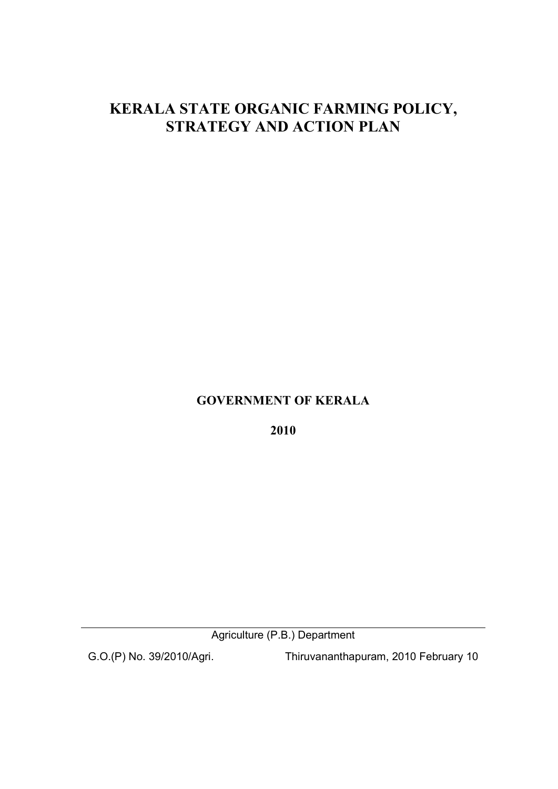# **KERALA STATE ORGANIC FARMING POLICY, STRATEGY AND ACTION PLAN**

## **GOVERNMENT OF KERALA**

**2010** 

Agriculture (P.B.) Department

G.O.(P) No. 39/2010/Agri. Thiruvananthapuram, 2010 February 10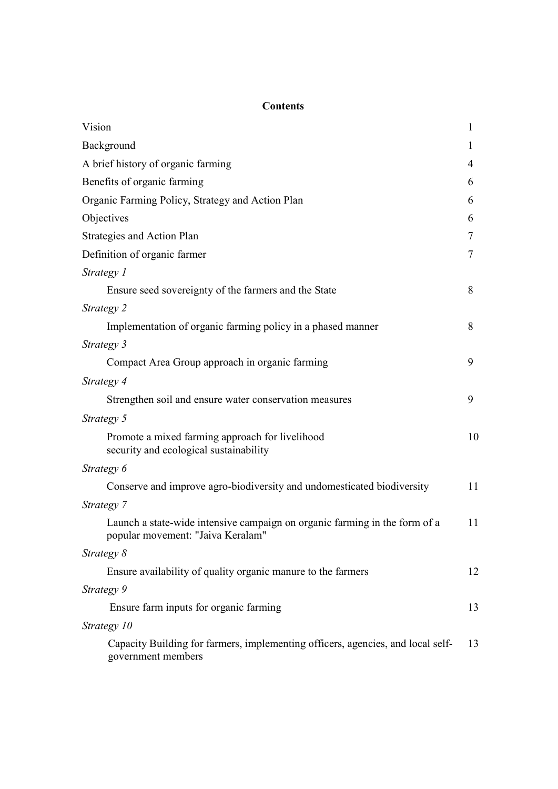## **Contents**

| Vision                                                                                                          | 1  |
|-----------------------------------------------------------------------------------------------------------------|----|
| Background                                                                                                      | 1  |
| A brief history of organic farming                                                                              | 4  |
| Benefits of organic farming                                                                                     | 6  |
| Organic Farming Policy, Strategy and Action Plan                                                                | 6  |
| Objectives                                                                                                      | 6  |
| Strategies and Action Plan                                                                                      | 7  |
| Definition of organic farmer                                                                                    | 7  |
| Strategy 1                                                                                                      |    |
| Ensure seed sovereignty of the farmers and the State                                                            | 8  |
| Strategy 2                                                                                                      |    |
| Implementation of organic farming policy in a phased manner                                                     | 8  |
| Strategy 3                                                                                                      |    |
| Compact Area Group approach in organic farming                                                                  | 9  |
| Strategy 4                                                                                                      |    |
| Strengthen soil and ensure water conservation measures                                                          | 9  |
| Strategy 5                                                                                                      |    |
| Promote a mixed farming approach for livelihood<br>security and ecological sustainability                       | 10 |
| Strategy 6                                                                                                      |    |
| Conserve and improve agro-biodiversity and undomesticated biodiversity                                          | 11 |
| Strategy 7                                                                                                      |    |
| Launch a state-wide intensive campaign on organic farming in the form of a<br>popular movement: "Jaiva Keralam" | 11 |
| Strategy 8                                                                                                      |    |
| Ensure availability of quality organic manure to the farmers                                                    | 12 |
| Strategy 9                                                                                                      |    |
| Ensure farm inputs for organic farming                                                                          | 13 |
| Strategy 10                                                                                                     |    |
| Capacity Building for farmers, implementing officers, agencies, and local self-<br>government members           | 13 |